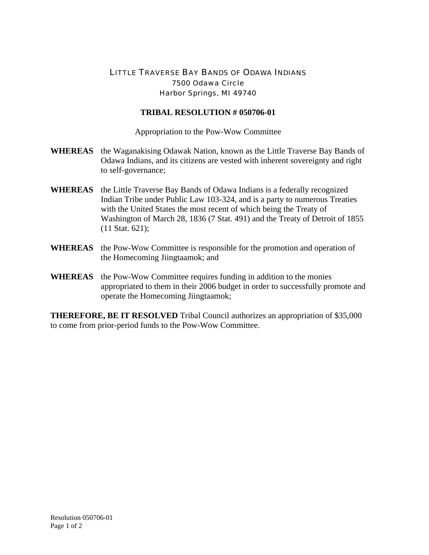## LITTLE TRAVERSE BAY BANDS OF ODAWA INDIANS 7500 Odawa Circle Harbor Springs, MI 49740

## **TRIBAL RESOLUTION # 050706-01**

Appropriation to the Pow-Wow Committee

- **WHEREAS** the Waganakising Odawak Nation, known as the Little Traverse Bay Bands of Odawa Indians, and its citizens are vested with inherent sovereignty and right to self-governance;
- **WHEREAS** the Little Traverse Bay Bands of Odawa Indians is a federally recognized Indian Tribe under Public Law 103-324, and is a party to numerous Treaties with the United States the most recent of which being the Treaty of Washington of March 28, 1836 (7 Stat. 491) and the Treaty of Detroit of 1855 (11 Stat. 621);
- **WHEREAS** the Pow-Wow Committee is responsible for the promotion and operation of the Homecoming Jiingtaamok; and
- **WHEREAS** the Pow-Wow Committee requires funding in addition to the monies appropriated to them in their 2006 budget in order to successfully promote and operate the Homecoming Jiingtaamok;

**THEREFORE, BE IT RESOLVED** Tribal Council authorizes an appropriation of \$35,000 to come from prior-period funds to the Pow-Wow Committee.